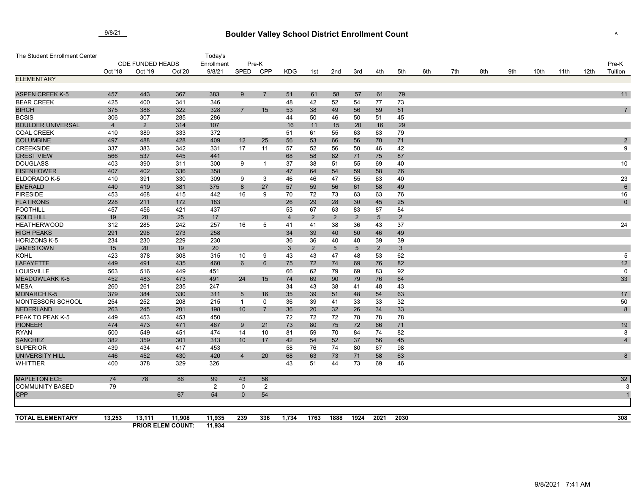## **Boulder Valley School District Enrollment Count** 9/8/21 <sup>A</sup>

| The Student Enrollment Center  |                         |                |                          | Today's        |                                   |                   |                |                |                |                |                 |                |     |     |     |     |      |      |      |                  |
|--------------------------------|-------------------------|----------------|--------------------------|----------------|-----------------------------------|-------------------|----------------|----------------|----------------|----------------|-----------------|----------------|-----|-----|-----|-----|------|------|------|------------------|
|                                | <b>CDE FUNDED HEADS</b> |                |                          | Enrollment     | Pre-K                             |                   |                |                |                |                |                 |                |     |     |     |     |      |      |      | $Pre-K$          |
|                                | Oct '18                 | Oct '19        | Oct'20                   | 9/8/21         | SPED                              | <b>CPP</b>        | <b>KDG</b>     | 1st            | 2nd            | 3rd            | 4th             | 5th            | 6th | 7th | 8th | 9th | 10th | 11th | 12th | Tuition          |
| <b>ELEMENTARY</b>              |                         |                |                          |                |                                   |                   |                |                |                |                |                 |                |     |     |     |     |      |      |      |                  |
|                                |                         |                |                          |                |                                   |                   |                |                |                |                |                 |                |     |     |     |     |      |      |      |                  |
| <b>ASPEN CREEK K-5</b>         | 457                     | 443            | 367                      | 383            | 9                                 | $\overline{7}$    | 51             | 61             | 58             | 57             | 61              | 79             |     |     |     |     |      |      |      | 11               |
| <b>BEAR CREEK</b>              | 425                     | 400            | 341                      | 346            |                                   |                   | 48             | 42             | 52             | 54             | 77              | 73             |     |     |     |     |      |      |      |                  |
| <b>BIRCH</b>                   | 375                     | 388            | 322                      | 328            | $\overline{7}$                    | 15                | 53             | 38             | 49             | 56             | 59              | 51             |     |     |     |     |      |      |      | $\overline{7}$   |
| <b>BCSIS</b>                   | 306                     | 307            | 285                      | 286            |                                   |                   | 44             | 50             | 46             | 50             | 51              | 45             |     |     |     |     |      |      |      |                  |
| <b>BOULDER UNIVERSAL</b>       | $\overline{4}$          | $\overline{2}$ | 314                      | 107            |                                   |                   | 16             | 11             | 15             | 20             | 16              | 29             |     |     |     |     |      |      |      |                  |
| <b>COAL CREEK</b>              | 410                     | 389            | 333                      | 372            |                                   |                   | 51             | 61             | 55             | 63             | 63              | 79             |     |     |     |     |      |      |      |                  |
| <b>COLUMBINE</b>               | 497                     | 488            | 428                      | 409            | 12                                | 25                | 56             | 53             | 66             | 56             | 70              | 71             |     |     |     |     |      |      |      | $\boldsymbol{2}$ |
| <b>CREEKSIDE</b>               | 337                     | 383            | 342                      | 331            | 17                                | 11                | 57             | 52             | 56             | 50             | 46              | 42             |     |     |     |     |      |      |      | 9                |
| <b>CREST VIEW</b>              | 566                     | 537            | 445                      | 441            |                                   |                   | 68             | 58             | 82             | 71             | 75              | 87             |     |     |     |     |      |      |      |                  |
| <b>DOUGLASS</b>                | 403                     | 390            | 311                      | 300            | 9                                 |                   | 37             | 38             | 51             | 55             | 69              | 40             |     |     |     |     |      |      |      | 10               |
| <b>EISENHOWER</b>              | 407                     | 402            | 336                      | 358            |                                   |                   | 47             | 64             | 54             | 59             | 58              | 76             |     |     |     |     |      |      |      |                  |
| ELDORADO K-5                   | 410                     | 391            | 330                      | 309            | 9                                 | 3                 | 46             | 46             | 47             | 55             | 63              | 40             |     |     |     |     |      |      |      | 23               |
| <b>EMERALD</b>                 | 440                     | 419            | 381                      | 375            | 8                                 | 27                | 57             | 59             | 56             | 61             | 58              | 49             |     |     |     |     |      |      |      | $\,6\,$          |
| <b>FIRESIDE</b>                | 453                     | 468            | 415                      | 442            | 16                                | 9                 | 70             | 72             | 73             | 63             | 63              | 76             |     |     |     |     |      |      |      | 16               |
| <b>FLATIRONS</b>               | 228                     | 211            | 172                      | 183            |                                   |                   | 26             | 29             | 28             | 30             | 45              | 25             |     |     |     |     |      |      |      | $\mathbf 0$      |
| <b>FOOTHILL</b>                | 457                     | 456            | 421                      | 437            |                                   |                   | 53             | 67             | 63             | 83             | 87              | 84             |     |     |     |     |      |      |      |                  |
| <b>GOLD HILL</b>               | 19                      | 20             | 25                       | 17             |                                   |                   | $\overline{4}$ | $\overline{2}$ | $\overline{2}$ | $\overline{2}$ | $5\phantom{.0}$ | $\overline{2}$ |     |     |     |     |      |      |      |                  |
| <b>HEATHERWOOD</b>             | 312                     | 285            | 242                      | 257            | 16                                | 5                 | 41             | 41             | 38             | 36             | 43              | 37             |     |     |     |     |      |      |      | 24               |
| <b>HIGH PEAKS</b>              | 291                     | 296            | 273                      | 258            |                                   |                   | 34             | 39             | 40             | 50             | 46              | 49             |     |     |     |     |      |      |      |                  |
| <b>HORIZONS K-5</b>            | 234                     | 230            | 229                      | 230            |                                   |                   | 36             | 36             | 40             | 40             | 39              | 39             |     |     |     |     |      |      |      |                  |
| <b>JAMESTOWN</b>               | 15                      | 20             | 19                       | 20             |                                   |                   | 3              | $\overline{2}$ | 5 <sup>5</sup> | $\overline{5}$ | $\overline{2}$  | 3              |     |     |     |     |      |      |      |                  |
| <b>KOHL</b>                    | 423<br>449              | 378            | 308<br>435               | 315<br>460     | 10                                | 9                 | 43             | 43<br>72       | 47             | 48             | 53<br>76        | 62             |     |     |     |     |      |      |      | $\,$ 5 $\,$      |
| <b>LAFAYETTE</b><br>LOUISVILLE | 563                     | 491<br>516     |                          |                | 6                                 | 6                 | 75             |                | 74             | 69             |                 | 82             |     |     |     |     |      |      |      | 12               |
| <b>MEADOWLARK K-5</b>          | 452                     |                | 449                      | 451            |                                   | 15                | 66             | 62             | 79             | 69<br>79       | 83              | 92             |     |     |     |     |      |      |      | 0                |
| <b>MESA</b>                    |                         | 483            | 473                      | 491            | 24                                |                   | 74<br>34       | 69             | 90             |                | 76              | 64             |     |     |     |     |      |      |      | 33               |
| <b>MONARCH K-5</b>             | 260<br>379              | 261            | 235<br>330               | 247<br>311     |                                   |                   |                | 43             | 38             | 41             | 48              | 43             |     |     |     |     |      |      |      |                  |
| MONTESSORI SCHOOL              | 254                     | 384<br>252     | 208                      | 215            | $5\phantom{.0}$<br>$\overline{1}$ | 16<br>$\mathbf 0$ | 35<br>36       | 39<br>39       | 51<br>41       | 48<br>33       | 54<br>33        | 63             |     |     |     |     |      |      |      | 17<br>50         |
| <b>NEDERLAND</b>               | 263                     | 245            | 201                      | 198            | 10 <sup>°</sup>                   | $\overline{7}$    | 36             | 20             |                | 26             | 34              | 32<br>33       |     |     |     |     |      |      |      | $\bf 8$          |
| PEAK TO PEAK K-5               | 449                     | 453            | 453                      | 450            |                                   |                   | 72             | 72             | 32<br>72       | 78             | 78              | 78             |     |     |     |     |      |      |      |                  |
| <b>PIONEER</b>                 | 474                     | 473            | 471                      | 467            | 9                                 | 21                | 73             | 80             | 75             | 72             | 66              | 71             |     |     |     |     |      |      |      | 19               |
| <b>RYAN</b>                    | 500                     | 549            | 451                      | 474            | 14                                | 10                | 81             | 59             | 70             | 84             | 74              | 82             |     |     |     |     |      |      |      | 8                |
| <b>SANCHEZ</b>                 | 382                     | 359            | 301                      | 313            | 10                                | 17                | 42             | 54             | 52             | 37             | 56              | 45             |     |     |     |     |      |      |      | $\overline{4}$   |
| <b>SUPERIOR</b>                | 439                     | 434            | 417                      | 453            |                                   |                   | 58             | 76             | 74             | 80             | 67              | 98             |     |     |     |     |      |      |      |                  |
| UNIVERSITY HILL                | 446                     | 452            | 430                      | 420            | $\overline{4}$                    | 20                | 68             | 63             | 73             | 71             | 58              | 63             |     |     |     |     |      |      |      | 8                |
| <b>WHITTIER</b>                | 400                     | 378            | 329                      | 326            |                                   |                   | 43             | 51             | 44             | 73             | 69              | 46             |     |     |     |     |      |      |      |                  |
| <b>MAPLETON ECE</b>            | 74                      | 78             | 86                       | 99             | 43                                | 56                |                |                |                |                |                 |                |     |     |     |     |      |      |      | 32               |
| <b>COMMUNITY BASED</b>         | 79                      |                |                          | $\overline{2}$ | 0                                 | $\overline{2}$    |                |                |                |                |                 |                |     |     |     |     |      |      |      |                  |
| CPP                            |                         |                | 67                       | 54             | $\mathbf{0}$                      | 54                |                |                |                |                |                 |                |     |     |     |     |      |      |      |                  |
|                                |                         |                |                          |                |                                   |                   |                |                |                |                |                 |                |     |     |     |     |      |      |      |                  |
| <b>TOTAL ELEMENTARY</b>        | 13,253                  | 13,111         | 11,908                   | 11,935         | 239                               | 336               | 1,734          | 1763           | 1888           | 1924           | 2021            | 2030           |     |     |     |     |      |      |      | 308              |
|                                |                         |                | <b>PRIOR ELEM COUNT:</b> | 11,934         |                                   |                   |                |                |                |                |                 |                |     |     |     |     |      |      |      |                  |

9/8/2021 7:41 AM